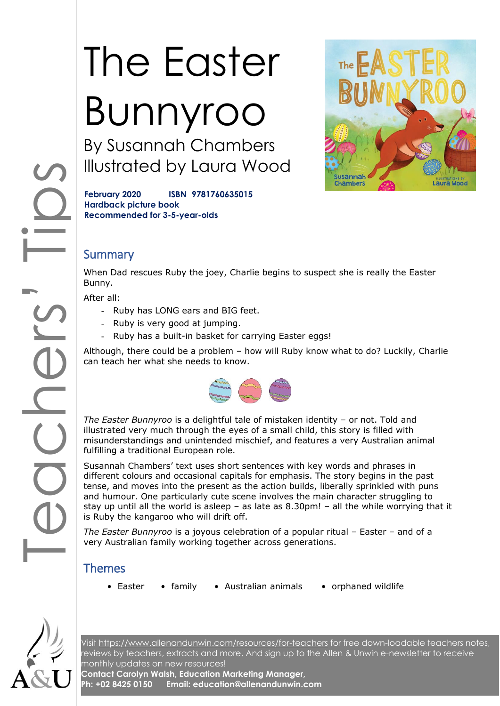# The Easter Bunnyroo

By Susannah Chambers Illustrated by Laura Wood



**February 2020 ISBN 9781760635015 Hardback picture book Recommended for 3-5-year-olds**

# **Summary**

When Dad rescues Ruby the joey, Charlie begins to suspect she is really the Easter Bunny.

After all:

- Ruby has LONG ears and BIG feet.
- Ruby is very good at jumping.
- Ruby has a built-in basket for carrying Easter eggs!

Although, there could be a problem – how will Ruby know what to do? Luckily, Charlie can teach her what she needs to know.



*The Easter Bunnyroo* is a delightful tale of mistaken identity – or not. Told and illustrated very much through the eyes of a small child, this story is filled with misunderstandings and unintended mischief, and features a very Australian animal fulfilling a traditional European role.

COOCHOS Susannah Chambers' text uses short sentences with key words and phrases in different colours and occasional capitals for emphasis. The story begins in the past tense, and moves into the present as the action builds, liberally sprinkled with puns and humour. One particularly cute scene involves the main character struggling to stay up until all the world is asleep  $-$  as late as 8.30pm!  $-$  all the while worrying that it is Ruby the kangaroo who will drift off.

*The Easter Bunnyroo* is a joyous celebration of a popular ritual – Easter – and of a very Australian family working together across generations.

### Themes

- 
- Easter family Australian animals orphaned wildlife
	-



Visit<https://www.allenandunwin.com/resources/for-teachers> for free down-loadable teachers notes, reviews by teachers, extracts and more. And sign up to the Allen & Unwin e-newsletter to receive monthly updates on new resources!

**Contact Carolyn Walsh, Education Marketing Manager, Ph: +02 8425 0150 Email: education@allenandunwin.com**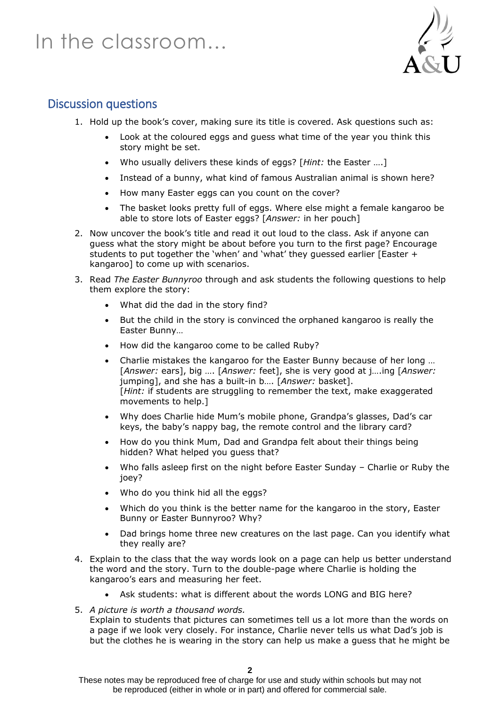# In the classroom…



## Discussion questions

- 1. Hold up the book's cover, making sure its title is covered. Ask questions such as:
	- Look at the coloured eggs and guess what time of the year you think this story might be set.
	- Who usually delivers these kinds of eggs? [*Hint:* the Easter ….]
	- Instead of a bunny, what kind of famous Australian animal is shown here?
	- How many Easter eggs can you count on the cover?
	- The basket looks pretty full of eggs. Where else might a female kangaroo be able to store lots of Easter eggs? [*Answer:* in her pouch]
- 2. Now uncover the book's title and read it out loud to the class. Ask if anyone can guess what the story might be about before you turn to the first page? Encourage students to put together the 'when' and 'what' they guessed earlier [Easter + kangaroo] to come up with scenarios.
- 3. Read *The Easter Bunnyroo* through and ask students the following questions to help them explore the story:
	- What did the dad in the story find?
	- But the child in the story is convinced the orphaned kangaroo is really the Easter Bunny…
	- How did the kangaroo come to be called Ruby?
	- Charlie mistakes the kangaroo for the Easter Bunny because of her long … [*Answer:* ears], big …. [*Answer:* feet], she is very good at j….ing [*Answer:* jumping], and she has a built-in b…. [*Answer:* basket]. [*Hint:* if students are struggling to remember the text, make exaggerated movements to help.]
	- Why does Charlie hide Mum's mobile phone, Grandpa's glasses, Dad's car keys, the baby's nappy bag, the remote control and the library card?
	- How do you think Mum, Dad and Grandpa felt about their things being hidden? What helped you guess that?
	- Who falls asleep first on the night before Easter Sunday Charlie or Ruby the joey?
	- Who do you think hid all the eggs?
	- Which do you think is the better name for the kangaroo in the story, Easter Bunny or Easter Bunnyroo? Why?
	- Dad brings home three new creatures on the last page. Can you identify what they really are?
- 4. Explain to the class that the way words look on a page can help us better understand the word and the story. Turn to the double-page where Charlie is holding the kangaroo's ears and measuring her feet.
	- Ask students: what is different about the words LONG and BIG here?
- 5. *A picture is worth a thousand words.*

Explain to students that pictures can sometimes tell us a lot more than the words on a page if we look very closely. For instance, Charlie never tells us what Dad's job is but the clothes he is wearing in the story can help us make a guess that he might be

These notes may be reproduced free of charge for use and study within schools but may not be reproduced (either in whole or in part) and offered for commercial sale.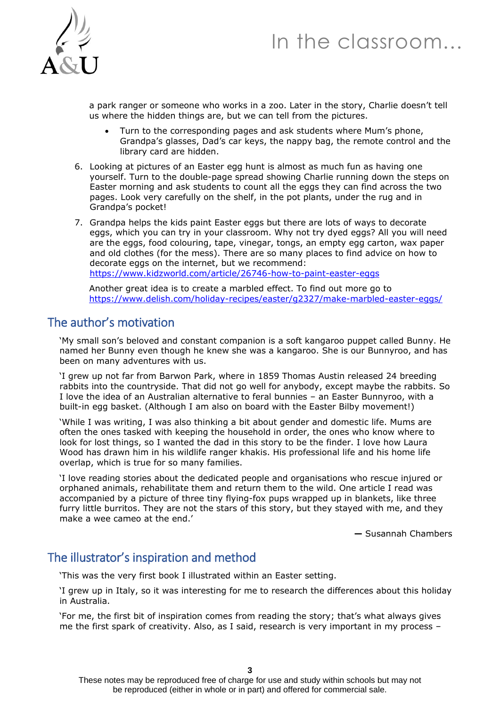



a park ranger or someone who works in a zoo. Later in the story, Charlie doesn't tell us where the hidden things are, but we can tell from the pictures.

- Turn to the corresponding pages and ask students where Mum's phone, Grandpa's glasses, Dad's car keys, the nappy bag, the remote control and the library card are hidden.
- 6. Looking at pictures of an Easter egg hunt is almost as much fun as having one yourself. Turn to the double-page spread showing Charlie running down the steps on Easter morning and ask students to count all the eggs they can find across the two pages. Look very carefully on the shelf, in the pot plants, under the rug and in Grandpa's pocket!
- 7. Grandpa helps the kids paint Easter eggs but there are lots of ways to decorate eggs, which you can try in your classroom. Why not try dyed eggs? All you will need are the eggs, food colouring, tape, vinegar, tongs, an empty egg carton, wax paper and old clothes (for the mess). There are so many places to find advice on how to decorate eggs on the internet, but we recommend: <https://www.kidzworld.com/article/26746-how-to-paint-easter-eggs>

Another great idea is to create a marbled effect. To find out more go to <https://www.delish.com/holiday-recipes/easter/g2327/make-marbled-easter-eggs/>

## The author's motivation

'My small son's beloved and constant companion is a soft kangaroo puppet called Bunny. He named her Bunny even though he knew she was a kangaroo. She is our Bunnyroo, and has been on many adventures with us.

'I grew up not far from Barwon Park, where in 1859 Thomas Austin released 24 breeding rabbits into the countryside. That did not go well for anybody, except maybe the rabbits. So I love the idea of an Australian alternative to feral bunnies – an Easter Bunnyroo, with a built-in egg basket. (Although I am also on board with the Easter Bilby movement!)

'While I was writing, I was also thinking a bit about gender and domestic life. Mums are often the ones tasked with keeping the household in order, the ones who know where to look for lost things, so I wanted the dad in this story to be the finder. I love how Laura Wood has drawn him in his wildlife ranger khakis. His professional life and his home life overlap, which is true for so many families.

'I love reading stories about the dedicated people and organisations who rescue injured or orphaned animals, rehabilitate them and return them to the wild. One article I read was accompanied by a picture of three tiny flying-fox pups wrapped up in blankets, like three furry little burritos. They are not the stars of this story, but they stayed with me, and they make a wee cameo at the end.'

**—** Susannah Chambers

### The illustrator's inspiration and method

'This was the very first book I illustrated within an Easter setting.

'I grew up in Italy, so it was interesting for me to research the differences about this holiday in Australia.

'For me, the first bit of inspiration comes from reading the story; that's what always gives me the first spark of creativity. Also, as I said, research is very important in my process –